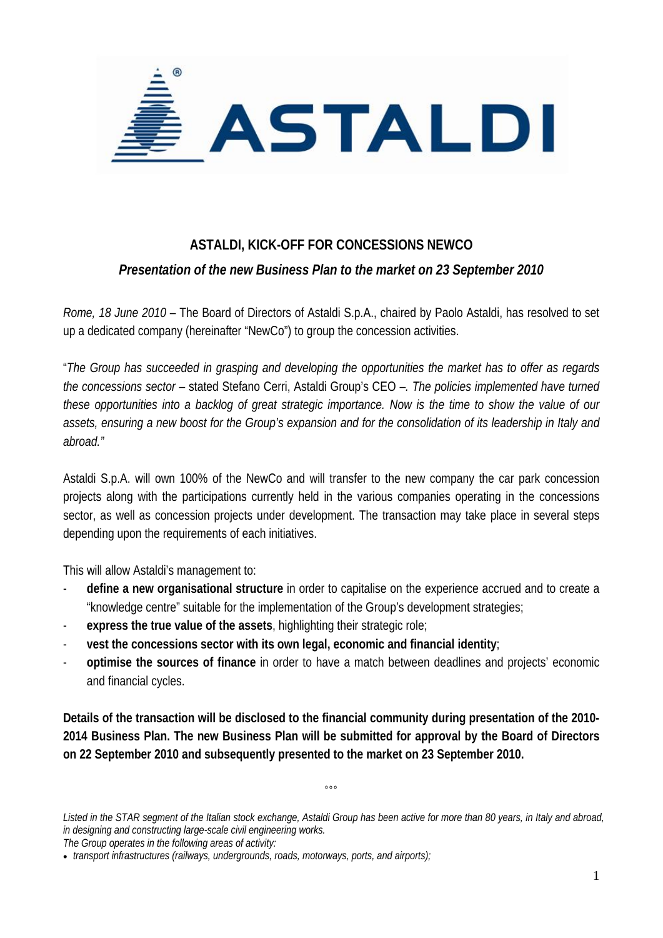

## **ASTALDI, KICK-OFF FOR CONCESSIONS NEWCO**

## *Presentation of the new Business Plan to the market on 23 September 2010*

*Rome, 18 June 2010* – The Board of Directors of Astaldi S.p.A., chaired by Paolo Astaldi, has resolved to set up a dedicated company (hereinafter "NewCo") to group the concession activities.

"*The Group has succeeded in grasping and developing the opportunities the market has to offer as regards the concessions sector –* stated Stefano Cerri, Astaldi Group's CEO –*. The policies implemented have turned these opportunities into a backlog of great strategic importance. Now is the time to show the value of our assets, ensuring a new boost for the Group's expansion and for the consolidation of its leadership in Italy and abroad."* 

Astaldi S.p.A. will own 100% of the NewCo and will transfer to the new company the car park concession projects along with the participations currently held in the various companies operating in the concessions sector, as well as concession projects under development. The transaction may take place in several steps depending upon the requirements of each initiatives.

This will allow Astaldi's management to:

- **define a new organisational structure** in order to capitalise on the experience accrued and to create a "knowledge centre" suitable for the implementation of the Group's development strategies;
- express the true value of the assets, highlighting their strategic role;
- **vest the concessions sector with its own legal, economic and financial identity**;
- **optimise the sources of finance** in order to have a match between deadlines and projects' economic and financial cycles.

**Details of the transaction will be disclosed to the financial community during presentation of the 2010- 2014 Business Plan. The new Business Plan will be submitted for approval by the Board of Directors on 22 September 2010 and subsequently presented to the market on 23 September 2010.** 

*The Group operates in the following areas of activity:* 

 $000$ 

*Listed in the STAR segment of the Italian stock exchange, Astaldi Group has been active for more than 80 years, in Italy and abroad, in designing and constructing large-scale civil engineering works.* 

<sup>•</sup> *transport infrastructures (railways, undergrounds, roads, motorways, ports, and airports);*